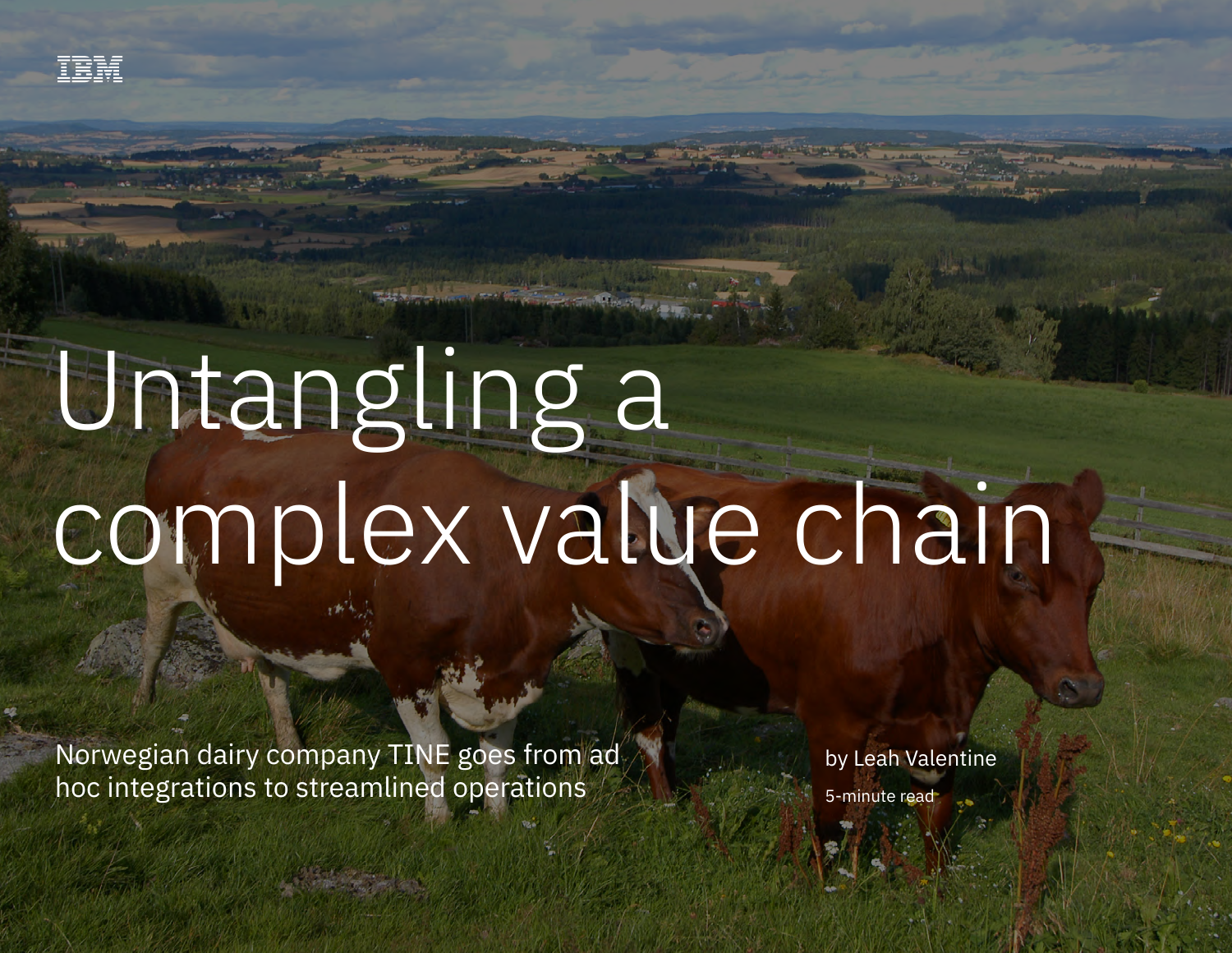# Untangling a complex value chain

Norwegian dairy company TINE goes from ad hoc integrations to streamlined operations

by Leah Valentine 5-minute read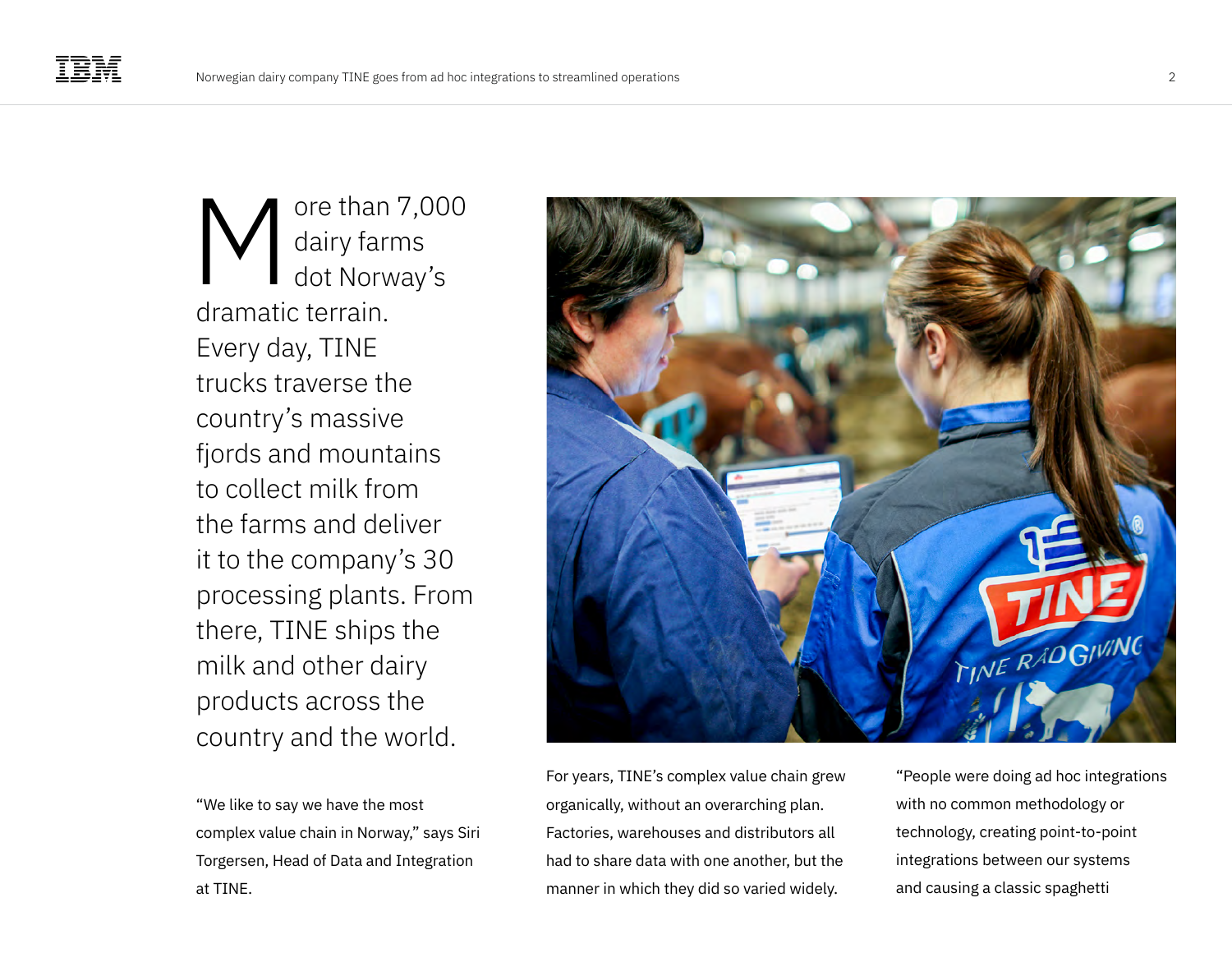ore than 7,000 dairy farms dot Norway's dramatic terrain. Every day, TINE trucks traverse the country's massive fjords and mountains to collect milk from the farms and deliver it to the company's 30 processing plants. From there, TINE ships the milk and other dairy products across the country and the world. M

"We like to say we have the most complex value chain in Norway," says Siri Torgersen, Head of Data and Integration at TINE.



For years, TINE's complex value chain grew organically, without an overarching plan. Factories, warehouses and distributors all had to share data with one another, but the manner in which they did so varied widely.

"People were doing ad hoc integrations with no common methodology or technology, creating point-to-point integrations between our systems and causing a classic spaghetti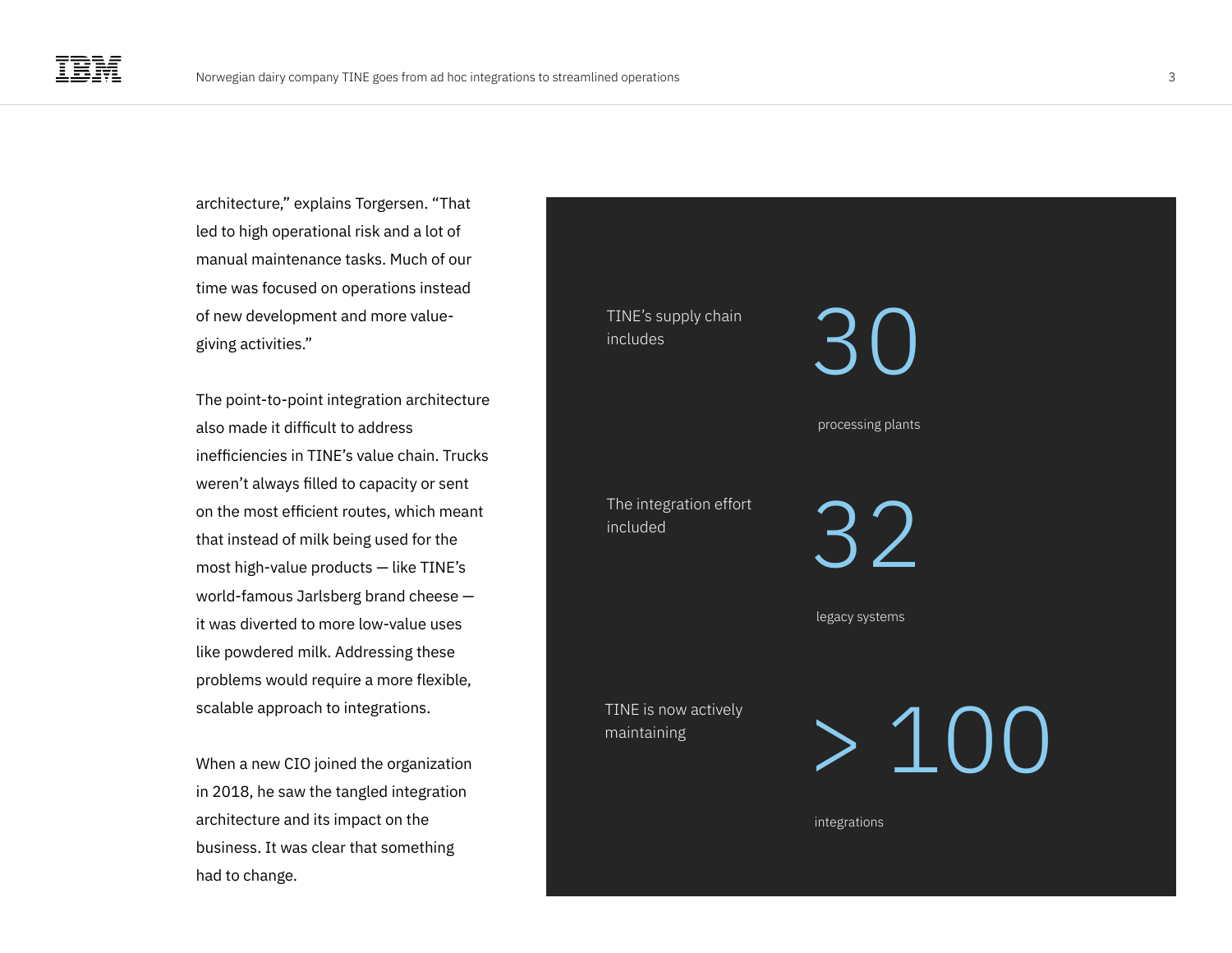architecture," explains Torgersen. "That led to high operational risk and a lot of manual maintenance tasks. Much of our time was focused on operations instead of new development and more valuegiving activities."

The point-to-point integration architecture also made it difficult to address inefficiencies in TINE's value chain. Trucks weren't always filled to capacity or sent on the most efficient routes, which meant that instead of milk being used for the most high-value products — like TINE's world-famous Jarlsberg brand cheese it was diverted to more low-value uses like powdered milk. Addressing these problems would require a more flexible, scalable approach to integrations.

When a new CIO joined the organization in 2018, he saw the tangled integration architecture and its impact on the business. It was clear that something had to change.

TINE's supply chain includes processing plants 32  $\mathcal{B}(1)$ The integration effort included legacy systems TINE is now actively<br>maintaining<br> $\qquad\qquad\qquad\qquad\qquad\qquad\qquad\qquad\qquad\qquad\qquad\qquad$ maintaining

integrations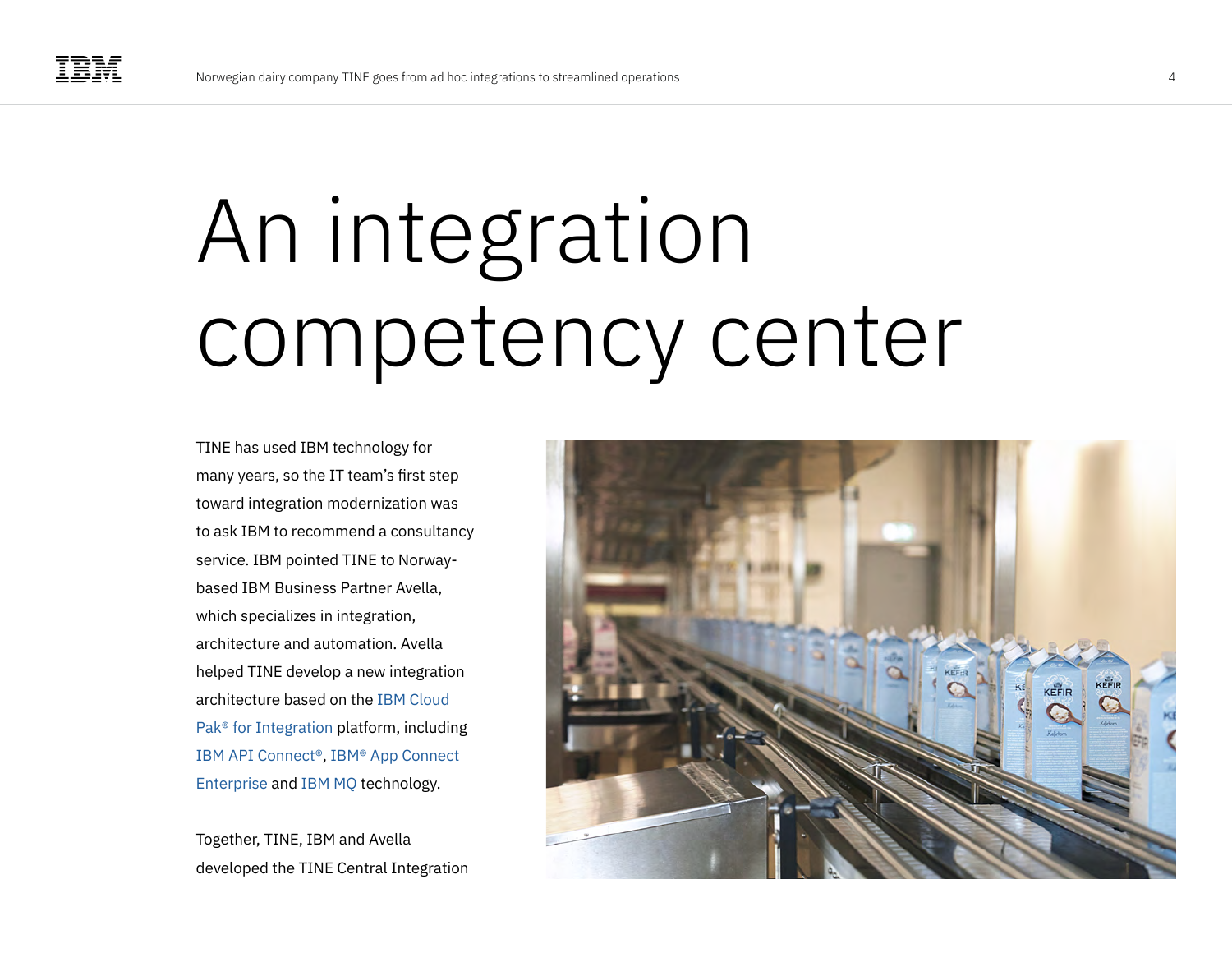## An integration competency center

TINE has used IBM technology for many years, so the IT team's first step toward integration modernization was to ask IBM to recommend a consultancy service. IBM pointed TINE to Norwaybased IBM Business Partner Avella, which specializes in integration, architecture and automation. Avella helped TINE develop a new integration architecture based on the [IBM Cloud](https://www.ibm.com/cloud/cloud-pak-for-integration)  [Pak® for Integration](https://www.ibm.com/cloud/cloud-pak-for-integration) platform, including [IBM API Connect®](https://www.ibm.com/cloud/api-connect), [IBM® App Connect](https://www.ibm.com/cloud/app-connect)  [Enterprise](https://www.ibm.com/cloud/app-connect) and [IBM MQ](https://www.ibm.com/products/mq) technology.

Together, TINE, IBM and Avella developed the TINE Central Integration

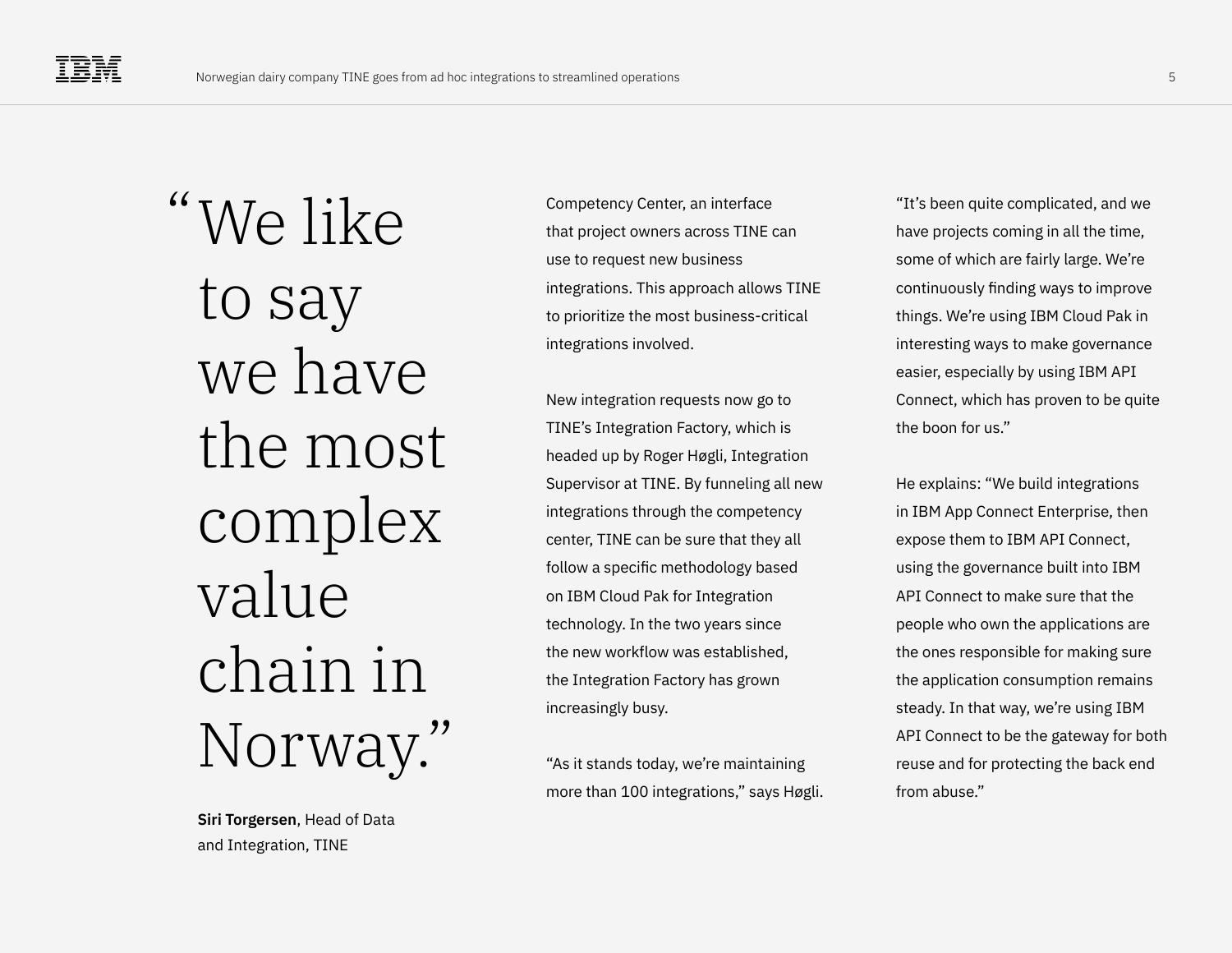"We like to say we have the most complex value chain in Norway."

> **Siri Torgersen**, Head of Data and Integration, TINE

Competency Center, an interface that project owners across TINE can use to request new business integrations. This approach allows TINE to prioritize the most business-critical integrations involved.

New integration requests now go to TINE's Integration Factory, which is headed up by Roger Høgli, Integration Supervisor at TINE. By funneling all new integrations through the competency center, TINE can be sure that they all follow a specific methodology based on IBM Cloud Pak for Integration technology. In the two years since the new workflow was established, the Integration Factory has grown increasingly busy.

"As it stands today, we're maintaining more than 100 integrations," says Høgli.

"It's been quite complicated, and we have projects coming in all the time, some of which are fairly large. We're continuously finding ways to improve things. We're using IBM Cloud Pak in interesting ways to make governance easier, especially by using IBM API Connect, which has proven to be quite the boon for us."

He explains: "We build integrations in IBM App Connect Enterprise, then expose them to IBM API Connect, using the governance built into IBM API Connect to make sure that the people who own the applications are the ones responsible for making sure the application consumption remains steady. In that way, we're using IBM API Connect to be the gateway for both reuse and for protecting the back end from abuse."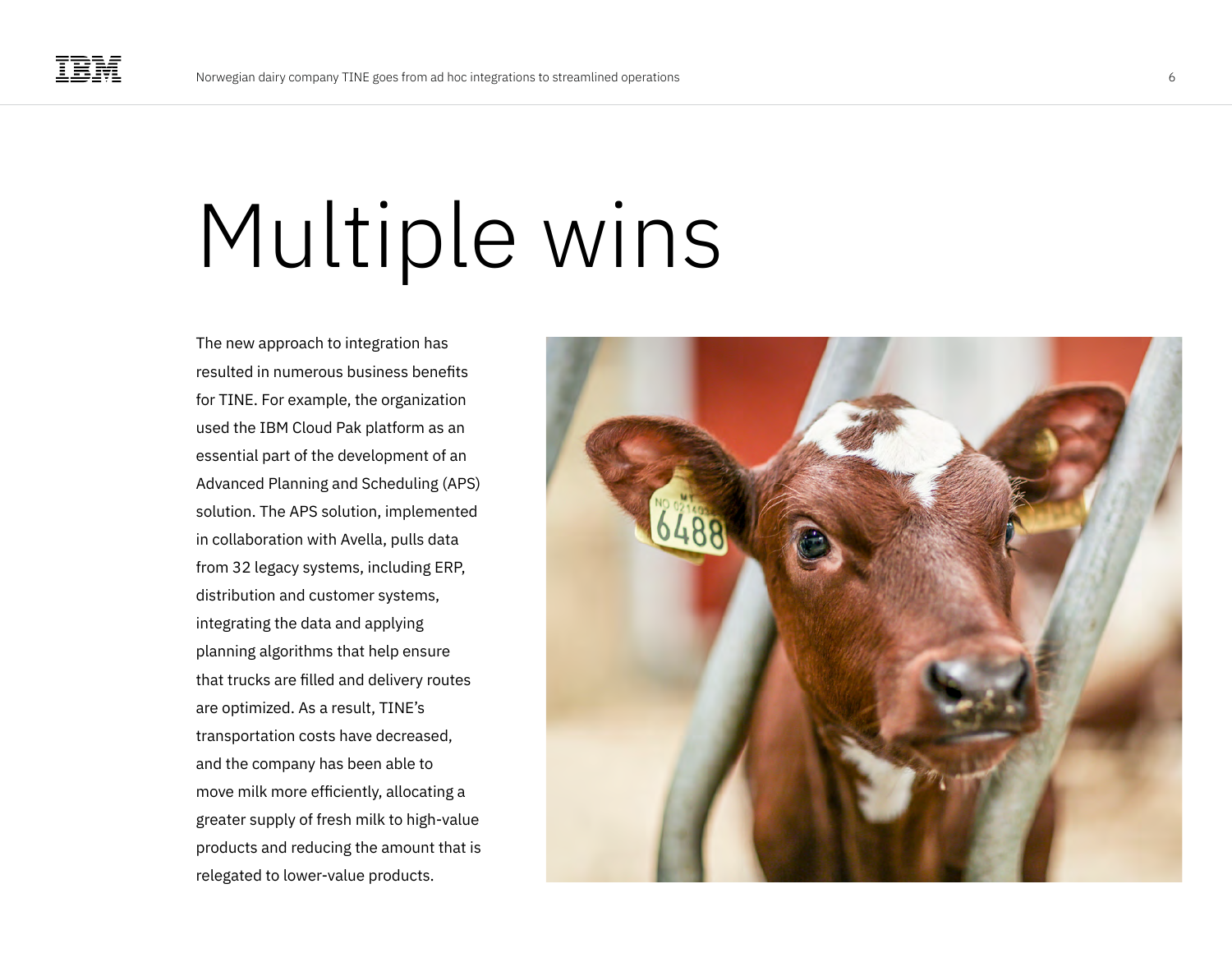## Multiple wins

The new approach to integration has resulted in numerous business benefits for TINE. For example, the organization used the IBM Cloud Pak platform as an essential part of the development of an Advanced Planning and Scheduling (APS) solution. The APS solution, implemented in collaboration with Avella, pulls data from 32 legacy systems, including ERP, distribution and customer systems, integrating the data and applying planning algorithms that help ensure that trucks are filled and delivery routes are optimized. As a result, TINE's transportation costs have decreased, and the company has been able to move milk more efficiently, allocating a greater supply of fresh milk to high-value products and reducing the amount that is relegated to lower-value products.

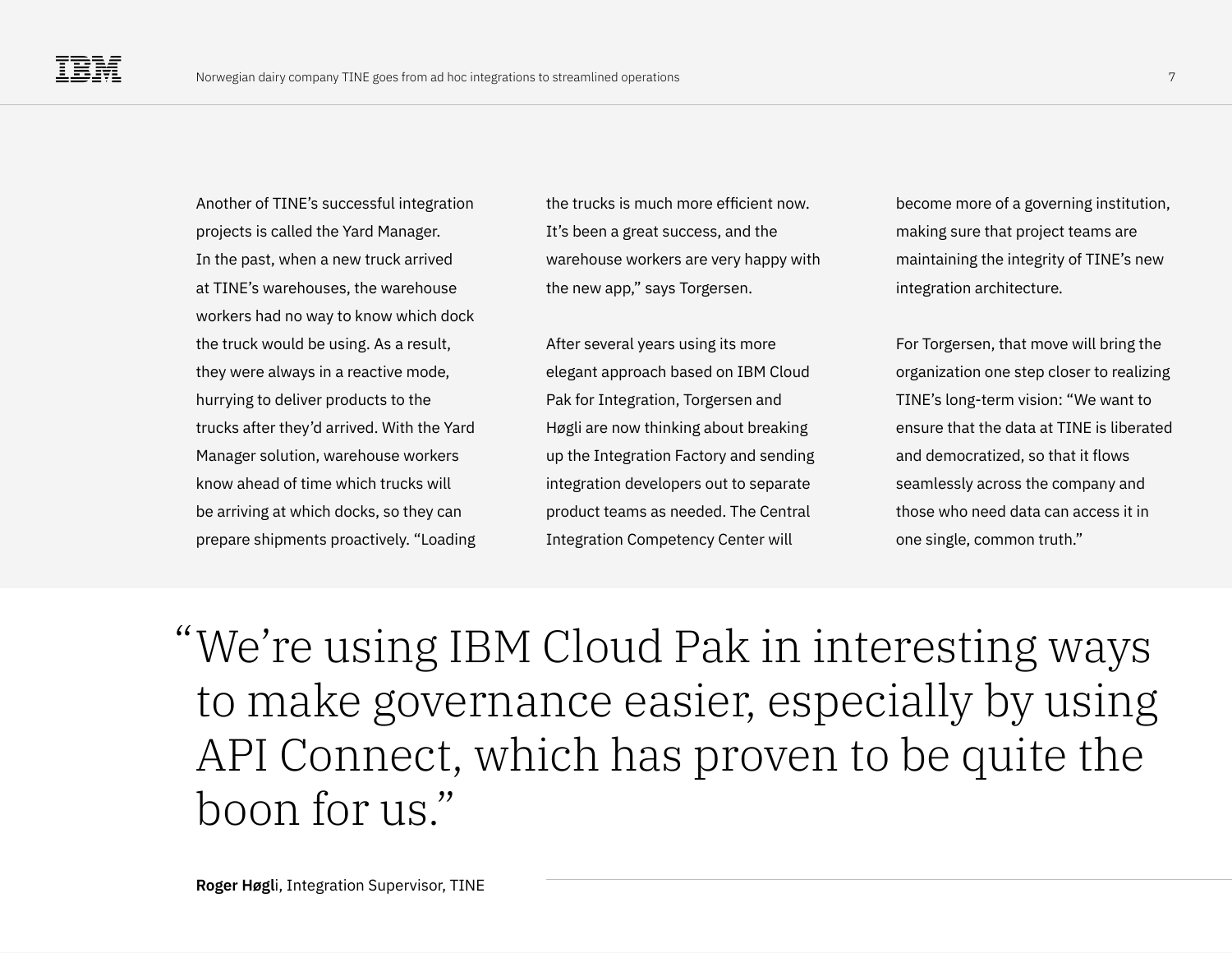Another of TINE's successful integration projects is called the Yard Manager. In the past, when a new truck arrived at TINE's warehouses, the warehouse workers had no way to know which dock the truck would be using. As a result, they were always in a reactive mode, hurrying to deliver products to the trucks after they'd arrived. With the Yard Manager solution, warehouse workers know ahead of time which trucks will be arriving at which docks, so they can prepare shipments proactively. "Loading

the trucks is much more efficient now. It's been a great success, and the warehouse workers are very happy with the new app," says Torgersen.

After several years using its more elegant approach based on IBM Cloud Pak for Integration, Torgersen and Høgli are now thinking about breaking up the Integration Factory and sending integration developers out to separate product teams as needed. The Central Integration Competency Center will

become more of a governing institution, making sure that project teams are maintaining the integrity of TINE's new integration architecture.

For Torgersen, that move will bring the organization one step closer to realizing TINE's long-term vision: "We want to ensure that the data at TINE is liberated and democratized, so that it flows seamlessly across the company and those who need data can access it in one single, common truth."

We're using IBM Cloud Pak in interesting ways "to make governance easier, especially by using API Connect, which has proven to be quite the boon for us."